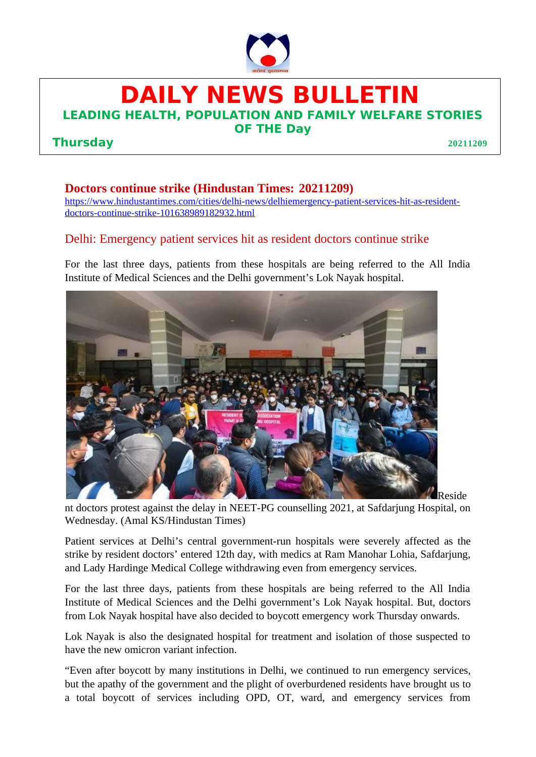

**DAILY NEWS BULLETIN**

**LEADING HEALTH, POPULATION AND FAMILY WELFARE STORIES**

## **Thursday 20211209**

**OF THE Day**

## **Doctors continue strike (Hindustan Times: 20211209)**

[https://www.hindustantimes.com/cities/delhi-news/delhiemergency-patient-services-hit-as-resident](https://www.hindustantimes.com/cities/delhi-news/delhiemergency-patient-services-hit-as-resident-doctors-continue-strike-101638989182932.html)[doctors-continue-strike-101638989182932.html](https://www.hindustantimes.com/cities/delhi-news/delhiemergency-patient-services-hit-as-resident-doctors-continue-strike-101638989182932.html)

## Delhi: Emergency patient services hit as resident doctors continue strike

For the last three days, patients from these hospitals are being referred to the All India Institute of Medical Sciences and the Delhi government's Lok Nayak hospital.



nt doctors protest against the delay in NEET-PG counselling 2021, at Safdarjung Hospital, on Wednesday. (Amal KS/Hindustan Times)

Patient services at Delhi's central government-run hospitals were severely affected as the strike by resident doctors' entered 12th day, with medics at Ram Manohar Lohia, Safdarjung, and Lady Hardinge Medical College withdrawing even from emergency services.

For the last three days, patients from these hospitals are being referred to the All India Institute of Medical Sciences and the Delhi government's Lok Nayak hospital. But, doctors from Lok Nayak hospital have also decided to boycott emergency work Thursday onwards.

Lok Nayak is also the designated hospital for treatment and isolation of those suspected to have the new omicron variant infection.

"Even after boycott by many institutions in Delhi, we continued to run emergency services, but the apathy of the government and the plight of overburdened residents have brought us to a total boycott of services including OPD, OT, ward, and emergency services from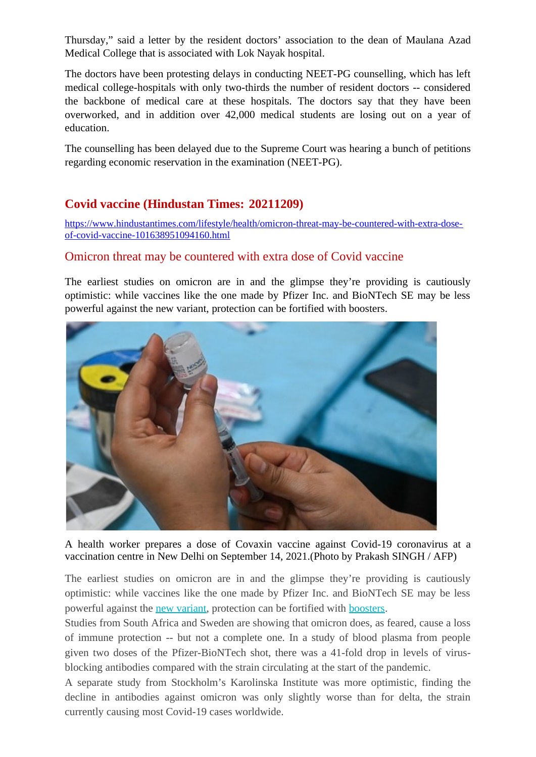Thursday," said a letter by the resident doctors' association to the dean of Maulana Azad Medical College that is associated with Lok Nayak hospital.

The doctors have been protesting delays in conducting NEET-PG counselling, which has left medical college-hospitals with only two-thirds the number of resident doctors -- considered the backbone of medical care at these hospitals. The doctors say that they have been overworked, and in addition over 42,000 medical students are losing out on a year of education.

The counselling has been delayed due to the Supreme Court was hearing a bunch of petitions regarding economic reservation in the examination (NEET-PG).

## **Covid vaccine (Hindustan Times: 20211209)**

[https://www.hindustantimes.com/lifestyle/health/omicron-threat-may-be-countered-with-extra-dose](https://www.hindustantimes.com/lifestyle/health/omicron-threat-may-be-countered-with-extra-dose-of-covid-vaccine-101638951094160.html)[of-covid-vaccine-101638951094160.html](https://www.hindustantimes.com/lifestyle/health/omicron-threat-may-be-countered-with-extra-dose-of-covid-vaccine-101638951094160.html)

## Omicron threat may be countered with extra dose of Covid vaccine

The earliest studies on omicron are in and the glimpse they're providing is cautiously optimistic: while vaccines like the one made by Pfizer Inc. and BioNTech SE may be less powerful against the new variant, protection can be fortified with boosters.



A health worker prepares a dose of Covaxin vaccine against Covid-19 coronavirus at a vaccination centre in New Delhi on September 14, 2021.(Photo by Prakash SINGH / AFP)

The earliest studies on omicron are in and the glimpse they're providing is cautiously optimistic: while vaccines like the one made by Pfizer Inc. and BioNTech SE may be less powerful against the [new variant](https://www.hindustantimes.com/world-news/who-confirms-omicron-covid-19-variant-in-23-countries-here-s-the-full-list-101638380759195.html), protection can be fortified with [boosters.](https://www.hindustantimes.com/india-news/expert-panel-meet-on-booster-shots-jabs-for-under-18-remains-inconclusive-101638818992537.html)

Studies from South Africa and Sweden are showing that omicron does, as feared, cause a loss of immune protection -- but not a complete one. In a study of blood plasma from people given two doses of the Pfizer-BioNTech shot, there was a 41-fold drop in levels of virusblocking antibodies compared with the strain circulating at the start of the pandemic.

A separate study from Stockholm's Karolinska Institute was more optimistic, finding the decline in antibodies against omicron was only slightly worse than for delta, the strain currently causing most Covid-19 cases worldwide.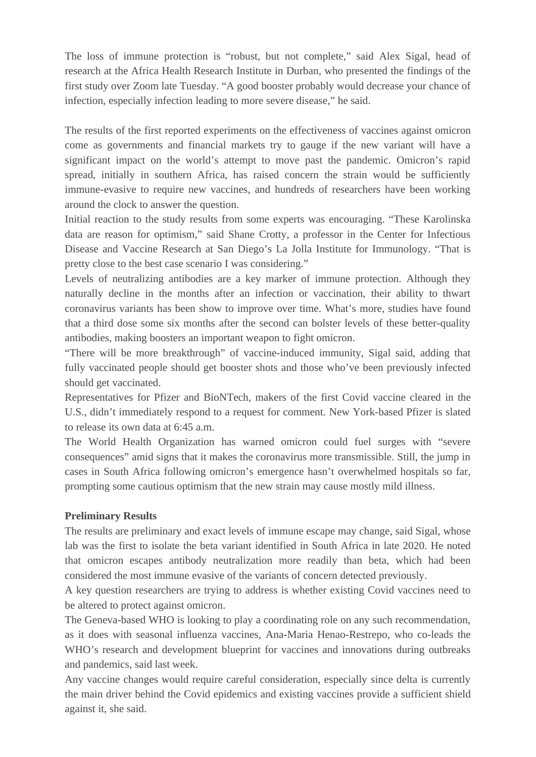The loss of immune protection is "robust, but not complete," said Alex Sigal, head of research at the Africa Health Research Institute in Durban, who presented the findings of the first study over Zoom late Tuesday. "A good booster probably would decrease your chance of infection, especially infection leading to more severe disease," he said.

The results of the first reported experiments on the effectiveness of vaccines against omicron come as governments and financial markets try to gauge if the new variant will have a significant impact on the world's attempt to move past the pandemic. Omicron's rapid spread, initially in southern Africa, has raised concern the strain would be sufficiently immune-evasive to require new vaccines, and hundreds of researchers have been working around the clock to answer the question.

Initial reaction to the study results from some experts was encouraging. "These Karolinska data are reason for optimism," said Shane Crotty, a professor in the Center for Infectious Disease and Vaccine Research at San Diego's La Jolla Institute for Immunology. "That is pretty close to the best case scenario I was considering."

Levels of neutralizing antibodies are a key marker of immune protection. Although they naturally decline in the months after an infection or vaccination, their ability to thwart coronavirus variants has been show to improve over time. What's more, studies have found that a third dose some six months after the second can bolster levels of these better-quality antibodies, making boosters an important weapon to fight omicron.

"There will be more breakthrough" of vaccine-induced immunity, Sigal said, adding that fully vaccinated people should get booster shots and those who've been previously infected should get vaccinated.

Representatives for Pfizer and BioNTech, makers of the first Covid vaccine cleared in the U.S., didn't immediately respond to a request for comment. New York-based Pfizer is slated to release its own data at 6:45 a.m.

The World Health Organization has warned omicron could fuel surges with "severe consequences" amid signs that it makes the coronavirus more transmissible. Still, the jump in cases in South Africa following omicron's emergence hasn't overwhelmed hospitals so far, prompting some cautious optimism that the new strain may cause mostly mild illness.

#### **Preliminary Results**

The results are preliminary and exact levels of immune escape may change, said Sigal, whose lab was the first to isolate the beta variant identified in South Africa in late 2020. He noted that omicron escapes antibody neutralization more readily than beta, which had been considered the most immune evasive of the variants of concern detected previously.

A key question researchers are trying to address is whether existing Covid vaccines need to be altered to protect against omicron.

The Geneva-based WHO is looking to play a coordinating role on any such recommendation, as it does with seasonal influenza vaccines, Ana-Maria Henao-Restrepo, who co-leads the WHO's research and development blueprint for vaccines and innovations during outbreaks and pandemics, said last week.

Any vaccine changes would require careful consideration, especially since delta is currently the main driver behind the Covid epidemics and existing vaccines provide a sufficient shield against it, she said.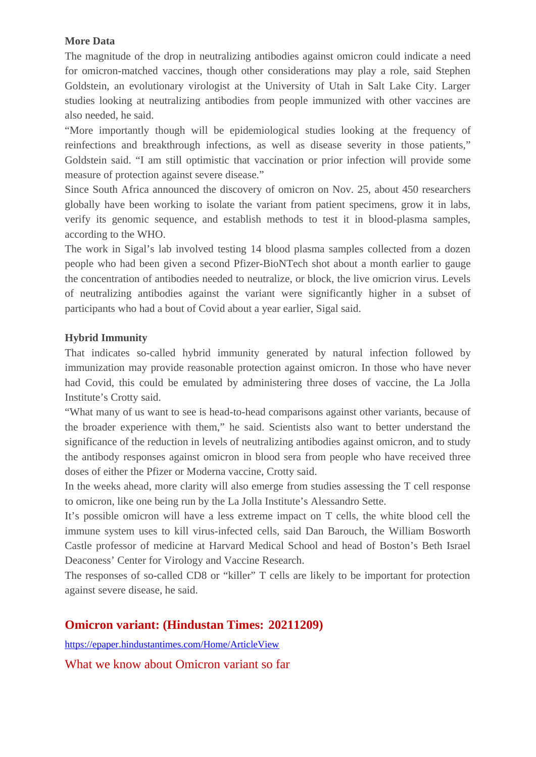#### **More Data**

The magnitude of the drop in neutralizing antibodies against omicron could indicate a need for omicron-matched vaccines, though other considerations may play a role, said Stephen Goldstein, an evolutionary virologist at the University of Utah in Salt Lake City. Larger studies looking at neutralizing antibodies from people immunized with other vaccines are also needed, he said.

"More importantly though will be epidemiological studies looking at the frequency of reinfections and breakthrough infections, as well as disease severity in those patients," Goldstein said. "I am still optimistic that vaccination or prior infection will provide some measure of protection against severe disease."

Since South Africa announced the discovery of omicron on Nov. 25, about 450 researchers globally have been working to isolate the variant from patient specimens, grow it in labs, verify its genomic sequence, and establish methods to test it in blood-plasma samples, according to the WHO.

The work in Sigal's lab involved testing 14 blood plasma samples collected from a dozen people who had been given a second Pfizer-BioNTech shot about a month earlier to gauge the concentration of antibodies needed to neutralize, or block, the live omicrion virus. Levels of neutralizing antibodies against the variant were significantly higher in a subset of participants who had a bout of Covid about a year earlier, Sigal said.

#### **Hybrid Immunity**

That indicates so-called hybrid immunity generated by natural infection followed by immunization may provide reasonable protection against omicron. In those who have never had Covid, this could be emulated by administering three doses of vaccine, the La Jolla Institute's Crotty said.

"What many of us want to see is head-to-head comparisons against other variants, because of the broader experience with them," he said. Scientists also want to better understand the significance of the reduction in levels of neutralizing antibodies against omicron, and to study the antibody responses against omicron in blood sera from people who have received three doses of either the Pfizer or Moderna vaccine, Crotty said.

In the weeks ahead, more clarity will also emerge from studies assessing the T cell response to omicron, like one being run by the La Jolla Institute's Alessandro Sette.

It's possible omicron will have a less extreme impact on T cells, the white blood cell the immune system uses to kill virus-infected cells, said Dan Barouch, the William Bosworth Castle professor of medicine at Harvard Medical School and head of Boston's Beth Israel Deaconess' Center for Virology and Vaccine Research.

The responses of so-called CD8 or "killer" T cells are likely to be important for protection against severe disease, he said.

## **Omicron variant: (Hindustan Times: 20211209)**

<https://epaper.hindustantimes.com/Home/ArticleView>

What we know about Omicron variant so far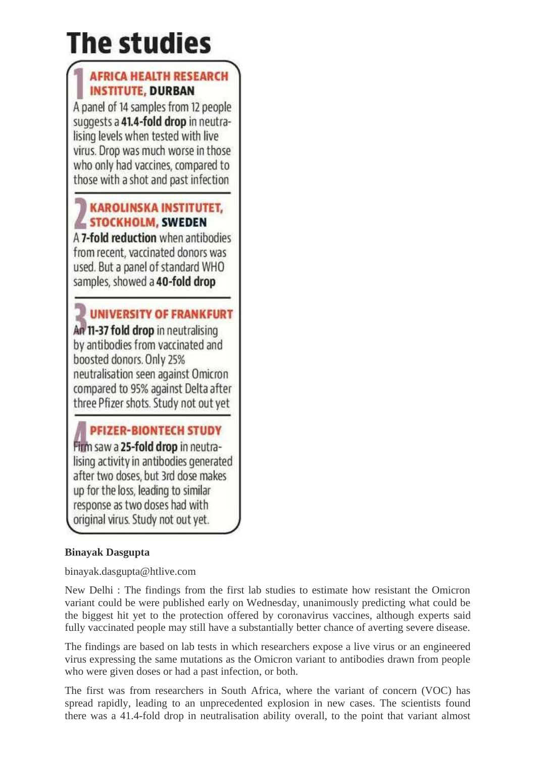# The studies

# **AFRICA HEALTH RESEARCH INSTITUTE, DURBAN**

A panel of 14 samples from 12 people suggests a 41.4-fold drop in neutralising levels when tested with live virus. Drop was much worse in those who only had vaccines, compared to those with a shot and past infection

## **KAROLINSKA INSTITUTET, STOCKHOLM, SWEDEN**

A 7-fold reduction when antibodies from recent, vaccinated donors was used. But a panel of standard WHO samples, showed a 40-fold drop

UNIVERSITY OF FRANKFURT An 11-37 fold drop in neutralising by antibodies from vaccinated and boosted donors. Only 25% neutralisation seen against Omicron compared to 95% against Delta after three Pfizer shots. Study not out yet

# **PFIZER-BIONTECH STUDY**

Firm saw a 25-fold drop in neutralising activity in antibodies generated after two doses, but 3rd dose makes up for the loss, leading to similar response as two doses had with original virus. Study not out yet.

## **Binayak Dasgupta**

binayak.dasgupta@htlive.com

New Delhi : The findings from the first lab studies to estimate how resistant the Omicron variant could be were published early on Wednesday, unanimously predicting what could be the biggest hit yet to the protection offered by coronavirus vaccines, although experts said fully vaccinated people may still have a substantially better chance of averting severe disease.

The findings are based on lab tests in which researchers expose a live virus or an engineered virus expressing the same mutations as the Omicron variant to antibodies drawn from people who were given doses or had a past infection, or both.

The first was from researchers in South Africa, where the variant of concern (VOC) has spread rapidly, leading to an unprecedented explosion in new cases. The scientists found there was a 41.4-fold drop in neutralisation ability overall, to the point that variant almost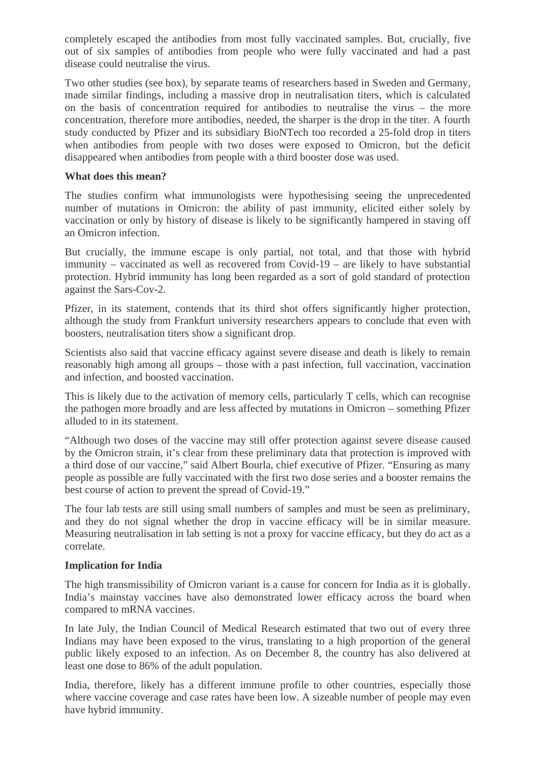completely escaped the antibodies from most fully vaccinated samples. But, crucially, five out of six samples of antibodies from people who were fully vaccinated and had a past disease could neutralise the virus.

Two other studies (see box), by separate teams of researchers based in Sweden and Germany, made similar findings, including a massive drop in neutralisation titers, which is calculated on the basis of concentration required for antibodies to neutralise the virus – the more concentration, therefore more antibodies, needed, the sharper is the drop in the titer. A fourth study conducted by Pfizer and its subsidiary BioNTech too recorded a 25-fold drop in titers when antibodies from people with two doses were exposed to Omicron, but the deficit disappeared when antibodies from people with a third booster dose was used.

#### **What does this mean?**

The studies confirm what immunologists were hypothesising seeing the unprecedented number of mutations in Omicron: the ability of past immunity, elicited either solely by vaccination or only by history of disease is likely to be significantly hampered in staving off an Omicron infection.

But crucially, the immune escape is only partial, not total, and that those with hybrid immunity – vaccinated as well as recovered from Covid-19 – are likely to have substantial protection. Hybrid immunity has long been regarded as a sort of gold standard of protection against the Sars-Cov-2.

Pfizer, in its statement, contends that its third shot offers significantly higher protection, although the study from Frankfurt university researchers appears to conclude that even with boosters, neutralisation titers show a significant drop.

Scientists also said that vaccine efficacy against severe disease and death is likely to remain reasonably high among all groups – those with a past infection, full vaccination, vaccination and infection, and boosted vaccination.

This is likely due to the activation of memory cells, particularly T cells, which can recognise the pathogen more broadly and are less affected by mutations in Omicron – something Pfizer alluded to in its statement.

"Although two doses of the vaccine may still offer protection against severe disease caused by the Omicron strain, it's clear from these preliminary data that protection is improved with a third dose of our vaccine," said Albert Bourla, chief executive of Pfizer. "Ensuring as many people as possible are fully vaccinated with the first two dose series and a booster remains the best course of action to prevent the spread of Covid-19."

The four lab tests are still using small numbers of samples and must be seen as preliminary, and they do not signal whether the drop in vaccine efficacy will be in similar measure. Measuring neutralisation in lab setting is not a proxy for vaccine efficacy, but they do act as a correlate.

#### **Implication for India**

The high transmissibility of Omicron variant is a cause for concern for India as it is globally. India's mainstay vaccines have also demonstrated lower efficacy across the board when compared to mRNA vaccines.

In late July, the Indian Council of Medical Research estimated that two out of every three Indians may have been exposed to the virus, translating to a high proportion of the general public likely exposed to an infection. As on December 8, the country has also delivered at least one dose to 86% of the adult population.

India, therefore, likely has a different immune profile to other countries, especially those where vaccine coverage and case rates have been low. A sizeable number of people may even have hybrid immunity.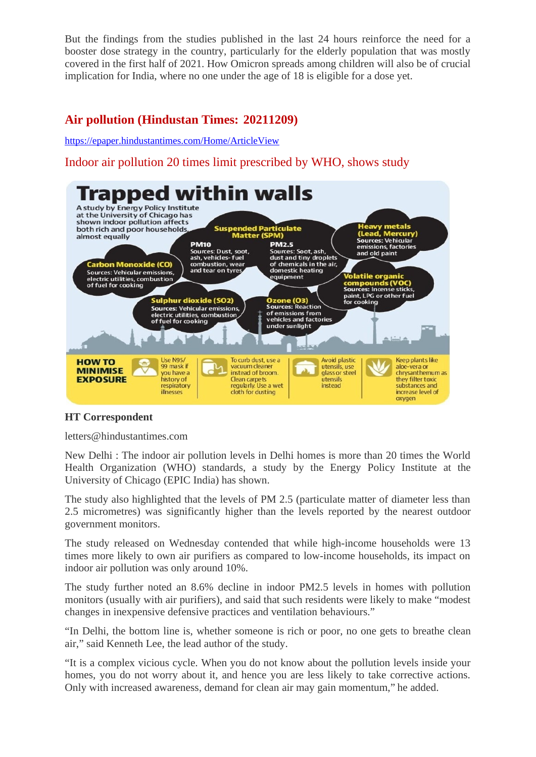But the findings from the studies published in the last 24 hours reinforce the need for a booster dose strategy in the country, particularly for the elderly population that was mostly covered in the first half of 2021. How Omicron spreads among children will also be of crucial implication for India, where no one under the age of 18 is eligible for a dose yet.

## **Air pollution (Hindustan Times: 20211209)**

<https://epaper.hindustantimes.com/Home/ArticleView>

Indoor air pollution 20 times limit prescribed by WHO, shows study



#### **HT Correspondent**

letters@hindustantimes.com

New Delhi : The indoor air pollution levels in Delhi homes is more than 20 times the World Health Organization (WHO) standards, a study by the Energy Policy Institute at the University of Chicago (EPIC India) has shown.

The study also highlighted that the levels of PM 2.5 (particulate matter of diameter less than 2.5 micrometres) was significantly higher than the levels reported by the nearest outdoor government monitors.

The study released on Wednesday contended that while high-income households were 13 times more likely to own air purifiers as compared to low-income households, its impact on indoor air pollution was only around 10%.

The study further noted an 8.6% decline in indoor PM2.5 levels in homes with pollution monitors (usually with air purifiers), and said that such residents were likely to make "modest changes in inexpensive defensive practices and ventilation behaviours."

"In Delhi, the bottom line is, whether someone is rich or poor, no one gets to breathe clean air," said Kenneth Lee, the lead author of the study.

"It is a complex vicious cycle. When you do not know about the pollution levels inside your homes, you do not worry about it, and hence you are less likely to take corrective actions. Only with increased awareness, demand for clean air may gain momentum," he added.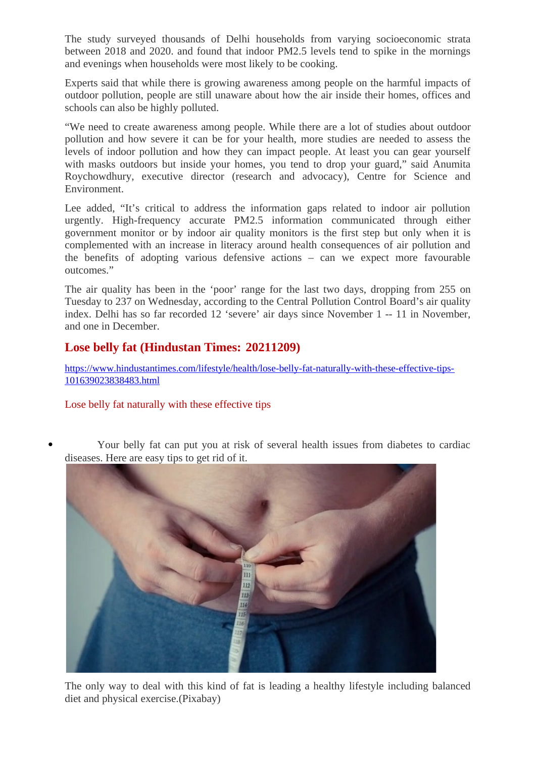The study surveyed thousands of Delhi households from varying socioeconomic strata between 2018 and 2020. and found that indoor PM2.5 levels tend to spike in the mornings and evenings when households were most likely to be cooking.

Experts said that while there is growing awareness among people on the harmful impacts of outdoor pollution, people are still unaware about how the air inside their homes, offices and schools can also be highly polluted.

"We need to create awareness among people. While there are a lot of studies about outdoor pollution and how severe it can be for your health, more studies are needed to assess the levels of indoor pollution and how they can impact people. At least you can gear yourself with masks outdoors but inside your homes, you tend to drop your guard," said Anumita Roychowdhury, executive director (research and advocacy), Centre for Science and Environment.

Lee added, "It's critical to address the information gaps related to indoor air pollution urgently. High-frequency accurate PM2.5 information communicated through either government monitor or by indoor air quality monitors is the first step but only when it is complemented with an increase in literacy around health consequences of air pollution and the benefits of adopting various defensive actions – can we expect more favourable outcomes."

The air quality has been in the 'poor' range for the last two days, dropping from 255 on Tuesday to 237 on Wednesday, according to the Central Pollution Control Board's air quality index. Delhi has so far recorded 12 'severe' air days since November 1 -- 11 in November, and one in December.

## **Lose belly fat (Hindustan Times: 20211209)**

[https://www.hindustantimes.com/lifestyle/health/lose-belly-fat-naturally-with-these-effective-tips-](https://www.hindustantimes.com/lifestyle/health/lose-belly-fat-naturally-with-these-effective-tips-101639023838483.html)[101639023838483.html](https://www.hindustantimes.com/lifestyle/health/lose-belly-fat-naturally-with-these-effective-tips-101639023838483.html)

#### Lose belly fat naturally with these effective tips

 Your belly fat can put you at risk of several health issues from diabetes to cardiac diseases. Here are easy tips to get rid of it.



The only way to deal with this kind of fat is leading a healthy lifestyle including balanced diet and physical exercise.(Pixabay)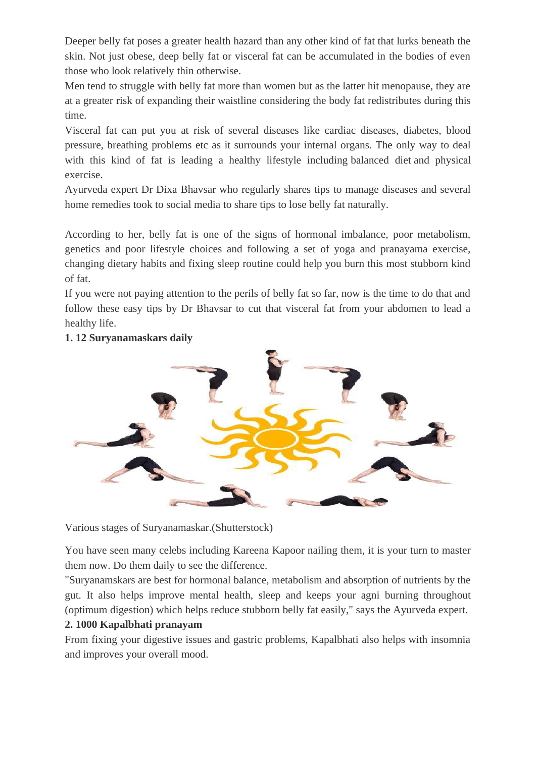Deeper [belly fat](https://www.hindustantimes.com/topic/belly-fat) poses a greater health hazard than any other kind of fat that lurks beneath the skin. Not just obese, deep belly fat or visceral fat can be accumulated in the bodies of even those who look relatively thin otherwise.

Men tend to struggle with belly fat more than women but as the latter hit menopause, they are at a greater risk of expanding their waistline considering the body fat redistributes during this time.

Visceral fat can put you at risk of several diseases like cardiac diseases, diabetes, blood pressure, breathing problems etc as it surrounds your internal organs. The only way to deal with this kind of fat is leading a healthy lifestyle including balanced diet and physical exercise.

Ayurveda expert Dr Dixa Bhavsar who regularly shares tips to manage diseases and several home remedies took to social media to share tips to lose belly fat naturally.

According to her, belly fat is one of the signs of hormonal imbalance, poor metabolism, genetics and poor lifestyle choices and following a set of yoga and pranayama exercise, changing dietary habits and fixing sleep routine could help you burn this most stubborn kind of fat.

If you were not paying attention to the perils of belly fat so far, now is the time to do that and follow these easy tips by Dr Bhavsar to cut that visceral fat from your abdomen to lead a healthy life.



#### **1. 12 Suryanamaskars daily**

Various stages of Suryanamaskar.(Shutterstock)

You have seen many celebs including Kareena Kapoor nailing them, it is your turn to master them now. Do them daily to see the difference.

"Suryanamskars are best for hormonal balance, metabolism and absorption of nutrients by the gut. It also helps improve mental health, sleep and keeps your agni burning throughout (optimum digestion) which helps reduce stubborn belly fat easily," says the Ayurveda expert.

#### **2. 1000 Kapalbhati pranayam**

From fixing your digestive issues and gastric problems, Kapalbhati also helps with insomnia and improves your overall mood.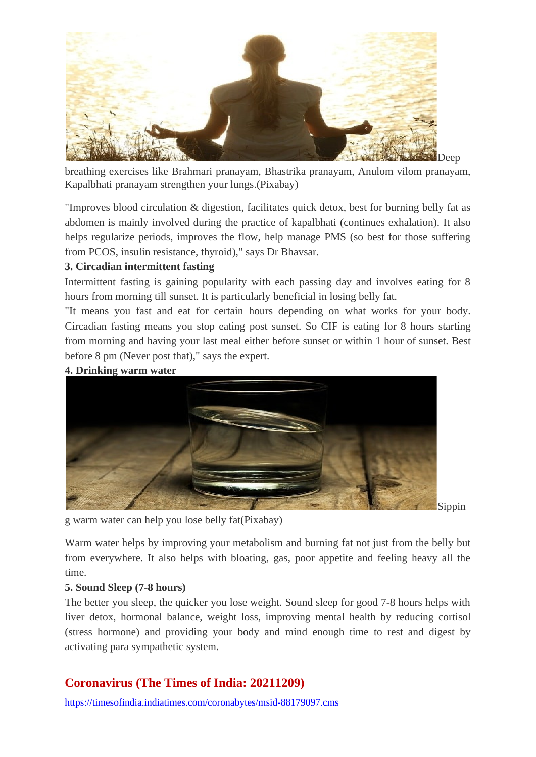

breathing exercises like Brahmari pranayam, Bhastrika pranayam, Anulom vilom pranayam, Kapalbhati pranayam strengthen your lungs.(Pixabay)

"Improves blood circulation & digestion, facilitates quick detox, best for burning belly fat as abdomen is mainly involved during the practice of kapalbhati (continues exhalation). It also helps regularize periods, improves the flow, help manage PMS (so best for those suffering from PCOS, insulin resistance, thyroid)," says Dr Bhavsar.

#### **3. Circadian intermittent fasting**

Intermittent fasting is gaining popularity with each passing day and involves eating for 8 hours from morning till sunset. It is particularly beneficial in losing belly fat.

"It means you fast and eat for certain hours depending on what works for your body. Circadian fasting means you stop eating post sunset. So CIF is eating for 8 hours starting from morning and having your last meal either before sunset or within 1 hour of sunset. Best before 8 pm (Never post that)," says the expert.

#### **4. Drinking warm water**



Sippin

g warm water can help you lose belly fat(Pixabay)

Warm water helps by improving your metabolism and burning fat not just from the belly but from everywhere. It also helps with bloating, gas, poor appetite and feeling heavy all the time.

#### **5. Sound Sleep (7-8 hours)**

The better you sleep, the quicker you lose weight. Sound sleep for good 7-8 hours helps with liver detox, hormonal balance, weight loss, improving mental health by reducing cortisol (stress hormone) and providing your body and mind enough time to rest and digest by activating para sympathetic system.

## **Coronavirus (The Times of India: 20211209)**

<https://timesofindia.indiatimes.com/coronabytes/msid-88179097.cms>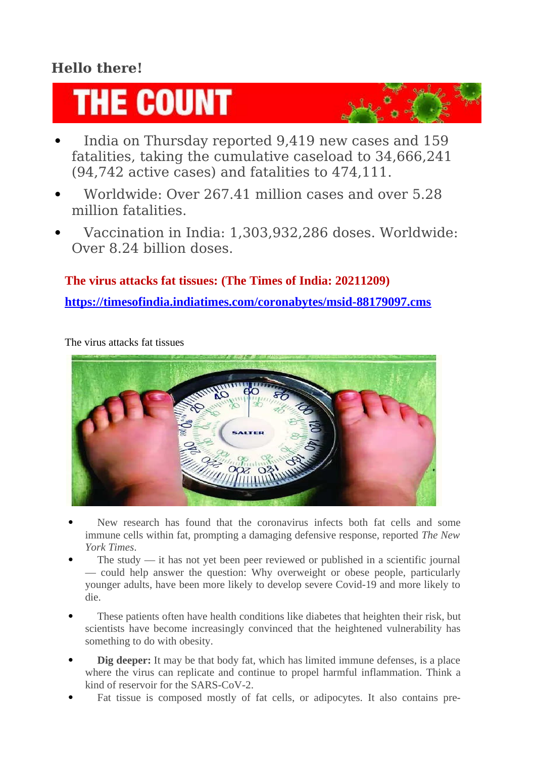# **Hello there!**

# **THE COUNT**

- India on Thursday reported 9,419 new cases and 159 fatalities, taking the cumulative caseload to 34,666,241 (94,742 active cases) and fatalities to 474,111.
- Worldwide: Over 267.41 million cases and over 5.28 million fatalities.
- Vaccination in India: 1,303,932,286 doses. Worldwide: Over 8.24 billion doses.

## **The virus attacks fat tissues: (The Times of India: 20211209)**

**<https://timesofindia.indiatimes.com/coronabytes/msid-88179097.cms>**

The virus attacks fat tissues



- New research has found that the coronavirus infects both fat cells and some immune cells within fat, prompting a damaging defensive response, reported *The New York Times*.
- The study it has not yet been peer reviewed or published in a scientific journal — could help answer the question: Why overweight or obese people, particularly younger adults, have been more likely to develop severe Covid-19 and more likely to die.
- These patients often have health conditions like diabetes that heighten their risk, but scientists have become increasingly convinced that the heightened vulnerability has something to do with obesity.
- **Dig deeper:** It may be that body fat, which has limited immune defenses, is a place where the virus can replicate and continue to propel harmful inflammation. Think a kind of reservoir for the SARS-CoV-2.
- Fat tissue is composed mostly of fat cells, or adipocytes. It also contains pre-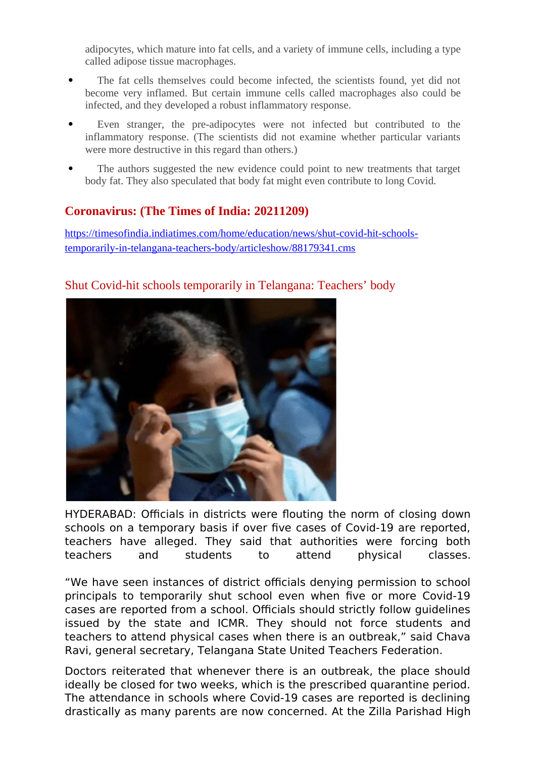adipocytes, which mature into fat cells, and a variety of immune cells, including a type called adipose tissue macrophages.

- The fat cells themselves could become infected, the scientists found, yet did not become very inflamed. But certain immune cells called macrophages also could be infected, and they developed a robust inflammatory response.
- Even stranger, the pre-adipocytes were not infected but contributed to the inflammatory response. (The scientists did not examine whether particular variants were more destructive in this regard than others.)
- The authors suggested the new evidence could point to new treatments that target body fat. They also speculated that body fat might even contribute to long Covid.

## **Coronavirus: (The Times of India: 20211209)**

[https://timesofindia.indiatimes.com/home/education/news/shut-covid-hit-schools](https://timesofindia.indiatimes.com/home/education/news/shut-covid-hit-schools-temporarily-in-telangana-teachers-body/articleshow/88179341.cms)[temporarily-in-telangana-teachers-body/articleshow/88179341.cms](https://timesofindia.indiatimes.com/home/education/news/shut-covid-hit-schools-temporarily-in-telangana-teachers-body/articleshow/88179341.cms)

## Shut Covid-hit schools temporarily in Telangana: Teachers' body



HYDERABAD: Officials in districts were flouting the norm of closing down schools on a temporary basis if over five cases of Covid-19 are reported, teachers have alleged. They said that authorities were forcing both teachers and students to attend physical classes.

"We have seen instances of district officials denying permission to school principals to temporarily shut school even when five or more Covid-19 cases are reported from a school. Officials should strictly follow guidelines issued by the state and ICMR. They should not force students and teachers to attend physical cases when there is an outbreak," said Chava Ravi, general secretary, Telangana State United Teachers Federation.

Doctors reiterated that whenever there is an outbreak, the place should ideally be closed for two weeks, which is the prescribed quarantine period. The attendance in schools where Covid-19 cases are reported is declining drastically as many parents are now concerned. At the Zilla Parishad High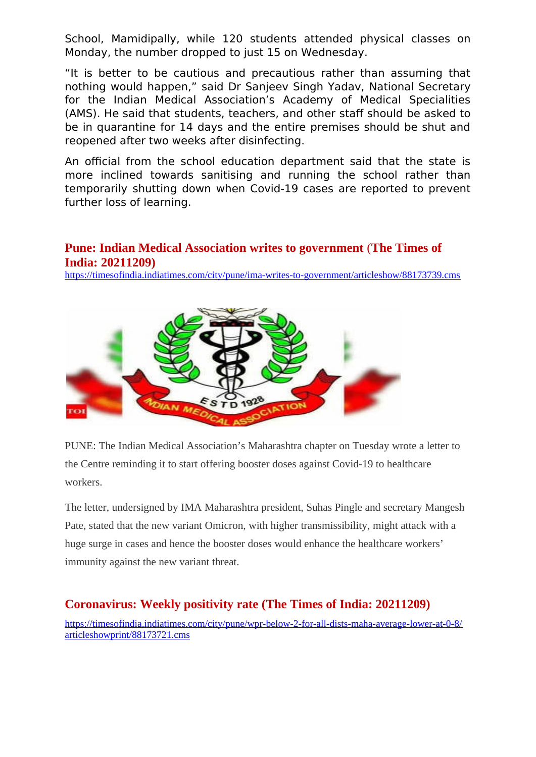School, Mamidipally, while 120 students attended physical classes on Monday, the number dropped to just 15 on Wednesday.

"It is better to be cautious and precautious rather than assuming that nothing would happen," said Dr Sanjeev Singh Yadav, National Secretary for the Indian Medical Association's Academy of Medical Specialities (AMS). He said that students, teachers, and other staff should be asked to be in quarantine for 14 days and the entire premises should be shut and reopened after two weeks after disinfecting.

An official from the school education department said that the state is more inclined towards sanitising and running the school rather than temporarily shutting down when Covid-19 cases are reported to prevent further loss of learning.

## **Pune: Indian Medical Association writes to government** (**The Times of India: 20211209)**

<https://timesofindia.indiatimes.com/city/pune/ima-writes-to-government/articleshow/88173739.cms>



PUNE: The Indian Medical Association's Maharashtra chapter on Tuesday wrote a letter to the Centre reminding it to start offering booster doses against Covid-19 to healthcare workers.

The letter, undersigned by IMA Maharashtra president, Suhas Pingle and secretary Mangesh Pate, stated that the new variant Omicron, with higher transmissibility, might attack with a huge surge in cases and hence the booster doses would enhance the healthcare workers' immunity against the new variant threat.

## **Coronavirus: Weekly positivity rate (The Times of India: 20211209)**

[https://timesofindia.indiatimes.com/city/pune/wpr-below-2-for-all-dists-maha-average-lower-at-0-8/](https://timesofindia.indiatimes.com/city/pune/wpr-below-2-for-all-dists-maha-average-lower-at-0-8/articleshowprint/88173721.cms) [articleshowprint/88173721.cms](https://timesofindia.indiatimes.com/city/pune/wpr-below-2-for-all-dists-maha-average-lower-at-0-8/articleshowprint/88173721.cms)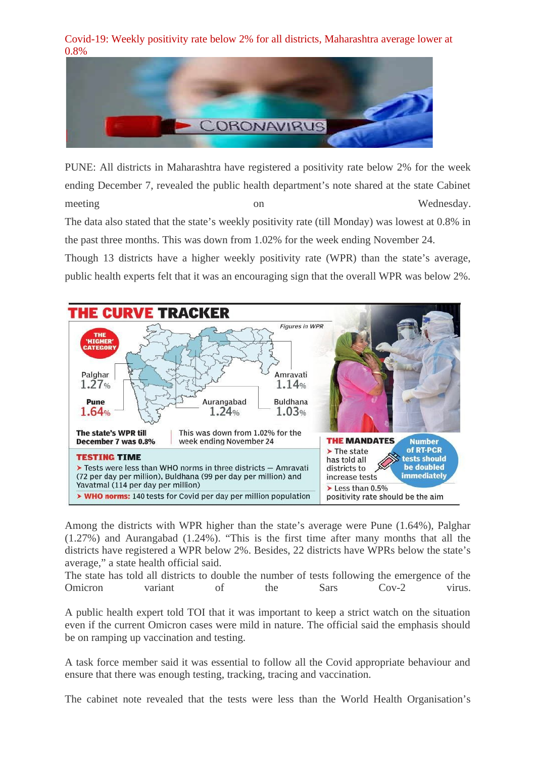Covid-19: Weekly positivity rate below 2% for all districts, Maharashtra average lower at 0.8%



PUNE: All districts in Maharashtra have registered a positivity rate below 2% for the week ending December 7, revealed the public health department's note shared at the state Cabinet meeting on Wednesday.

The data also stated that the state's weekly positivity rate (till Monday) was lowest at 0.8% in the past three months. This was down from 1.02% for the week ending November 24.

Though 13 districts have a higher weekly positivity rate (WPR) than the state's average, public health experts felt that it was an encouraging sign that the overall WPR was below 2%.



Among the districts with WPR higher than the state's average were Pune (1.64%), Palghar (1.27%) and Aurangabad (1.24%). "This is the first time after many months that all the districts have registered a WPR below 2%. Besides, 22 districts have WPRs below the state's average," a state health official said.

The state has told all districts to double the number of tests following the emergence of the Omicron variant of the Sars Cov-2 virus.

A public health expert told TOI that it was important to keep a strict watch on the situation even if the current Omicron cases were mild in nature. The official said the emphasis should be on ramping up vaccination and testing.

A task force member said it was essential to follow all the Covid appropriate behaviour and ensure that there was enough testing, tracking, tracing and vaccination.

The cabinet note revealed that the tests were less than the World Health Organisation's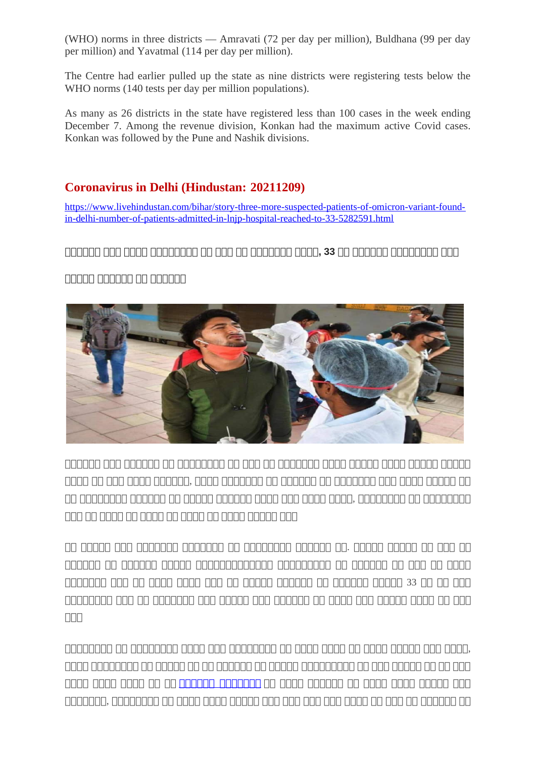(WHO) norms in three districts — Amravati (72 per day per million), Buldhana (99 per day per million) and Yavatmal (114 per day per million).

The Centre had earlier pulled up the state as nine districts were registering tests below the WHO norms (140 tests per day per million populations).

As many as 26 districts in the state have registered less than 100 cases in the week ending December 7. Among the revenue division, Konkan had the maximum active Covid cases. Konkan was followed by the Pune and Nashik divisions.

## **Coronavirus in Delhi (Hindustan: 20211209)**

[https://www.livehindustan.com/bihar/story-three-more-suspected-patients-of-omicron-variant-found](https://www.livehindustan.com/bihar/story-three-more-suspected-patients-of-omicron-variant-found-in-delhi-number-of-patients-admitted-in-lnjp-hospital-reached-to-33-5282591.html)[in-delhi-number-of-patients-admitted-in-lnjp-hospital-reached-to-33-5282591.html](https://www.livehindustan.com/bihar/story-three-more-suspected-patients-of-omicron-variant-found-in-delhi-number-of-patients-admitted-in-lnjp-hospital-reached-to-33-5282591.html)

## **दददददद ददद दददद दददददददद दद ददद दद ददददददद दददद, 33 दद दददददद दददददददद ददद**

## **ददददद दददददद दद दददददद**



 $\begin{array}{l} \text{11.4}\ \text{11.4}\ \text{11.4}\ \text{11.4}\ \text{11.4}\ \text{11.4}\ \text{11.4}\ \text{11.4}\ \text{11.4}\ \text{11.4}\ \text{11.4}\ \text{11.4}\ \text{11.4}\ \text{11.4}\ \text{11.4}\ \text{11.4}\ \text{11.4}\ \text{11.4}\ \text{11.4}\ \text{11.4}\ \text{11.4}\ \text{11.4}\ \text{11.4}\ \text{11.4}\ \text{11.4}\ \text{11.4}\ \text{11$ दददद दद ददद दददद दददददद, दददद ददददददद दद दददददद दद ददददददद ददद दददद ददददद दद  $\Box$  accorded cooped on accord accord accorded acco, accorded ac accorded ददद दद दददद दद दददद दद दददद दद दददद ददददद ददद

בזה המה כהם ההתחם ההתחם בהם ההחתחה ההתחתחה הה החתחהה החתחה ההם החתחה הה दददददद दद दददददद ददददद ददददददददददददद ददददददददद दद दददददद दद ददद दद दददद  $\Box$ המח מח מח מחמח מחמחמ מחמחמם מחמחמם מחמחמם מחמח מחמחמם המחמחמם המחמחמם दददददददद ददद दद ददददददद ददद ददददद ददद दददददद दद दददद ददद ददददद दददद दद ददद  $\Box \Box \Box$ 

दददददददद दद दददददददद दददद ददद दददददददद दद दददद दददद दद दददद ददददद ददद दददद, दददद दददददददद दद ददददद दद दद दददददद दद ददददद ददददददददद दद ददद ददददद दद दद ददद <u>caran caran cara ca caranna ammanna an caran caranna caran caran anna cara</u> ददददददद, दददददददद दद दददद दददद ददददद ददद ददद ददद ददद दददद दद ददद दद दददददद दद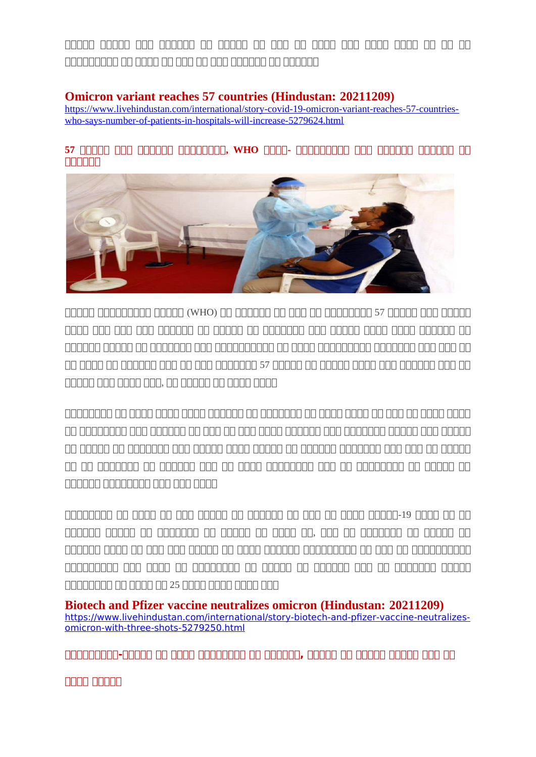ददददद ददददद ददद दददददद दद ददददद दद ददद दद दददद ददद दददद दददद दद दद दद ददददददददद दद दददद दद ददद दद ददद दददददद दद दददददद

## **Omicron variant reaches 57 countries (Hindustan: 20211209)**

[https://www.livehindustan.com/international/story-covid-19-omicron-variant-reaches-57-countries](https://www.livehindustan.com/international/story-covid-19-omicron-variant-reaches-57-countries-who-says-number-of-patients-in-hospitals-will-increase-5279624.html)[who-says-number-of-patients-in-hospitals-will-increase-5279624.html](https://www.livehindustan.com/international/story-covid-19-omicron-variant-reaches-57-countries-who-says-number-of-patients-in-hospitals-will-increase-5279624.html)

#### **57 ददददद ददद दददददद दददददददद, WHO दददद- ददददददददद ददद दददददद दददददद दद GREER**



cannan anananan anana (WHO) an ananan an ana an ananana sa anana ananan दददद ददद ददद ददद दददददद दद ददददद दद ददददददद ददद ददददद दददद दददद दददददद दद दददददद ददददद दद ददददददद ददद दददददददददद दद दददद ददददददददद ददददददद ददद ददद दद  $\Box \Box$  action of capacing and can act and capacing the capacing  $\Box$  action of action and  $\Box$  action and  $\Box$ ददददद ददद दददद ददद, दद ददददद दद दददद दददद

בנהבות החתה הנה החת המה המתח המתח הם המתחתמה הם התחתה להתחת החתה המתח הם החתה החתהה בהרחרה הרהה ההרחרה הרחרותהה הרחה הרחרותה הרוחה הרוח הרח הרחב הרחב הרחב הרחב הרחב הרחב הרח दद ददददद दद ददददददद ददद ददददद दददद ददददद दद दददददद ददददददद ददद ददद दद ददददद  $\Box$  at accord at cacaca at accord and can can can cacacaca and cacacacaca an accord दददददद दददददददद ददद ददद दददद

 $\Box$ כלה החרות פנבחה מספר כה כנקס כה מספרים כה מספרים כה מספר כה מספרים מספרים כל המספרים दददददद ददददद दद ददददददद दद ददददद दद दददद दद, ददद दद ददददददद दद ददददद दद दददददद दददद दद ददद ददद ददददद दद दददद दददददद ददददददददद दद ददद दद दददददददददद <u>cannonono anno annononona ao annon</u> ao annona ann annona annon הבנה הבנהם הבנהם הבנהם 25 כנם הבנהם בנה הבנהבותה

**Biotech and Pfizer vaccine neutralizes omicron (Hindustan: 20211209)** [https://www.livehindustan.com/international/story-biotech-and-pfizer-vaccine-neutralizes](https://www.livehindustan.com/international/story-biotech-and-pfizer-vaccine-neutralizes-omicron-with-three-shots-5279250.html)[omicron-with-three-shots-5279250.html](https://www.livehindustan.com/international/story-biotech-and-pfizer-vaccine-neutralizes-omicron-with-three-shots-5279250.html)

**ददददददददद-ददददद दद दददद दददददददद दद दददददद, ददददद दद ददददद ददददद ददद दद**

**दददद ददददद**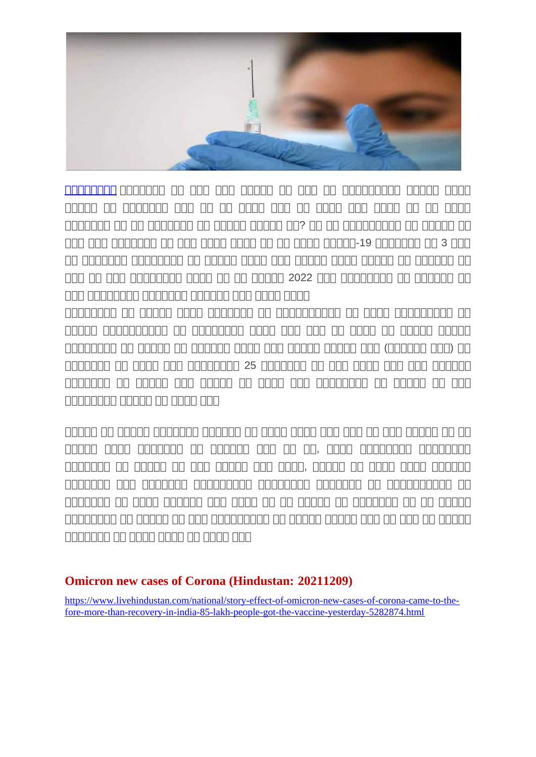

 $\begin{array}{ccc} \text{trunc} & \text{trunc} \\ \text{trunc} & \text{trunc} \end{array}$  $\Box$ כל כנס כנסים כנקב כנקב כנס כנס כנסים כנס כנס כנסים כל הסמכה כל כנסים ददददददद दद दद ददददददद दद ददददद ददददद दद? दद दद ददददददददद दद ददददद दद  $\Box$ aa aan aanaana aa aan aana aana aa aana aanaa-19 aanaana aa 3 aan רות התחתתה תה התחתה החתה החתתה החתה ההחת החתהה הה ההחתההה ההחתההה הה द्वात तद दवत वतततततत तततत तत तत तततत 2022 ततत तततततत तत ततततत तत द्वद्व ददवदवद्वाद्वा ददवद्वाद्वा द्वावत् द्वद्वा ददव्व

दददददददद दद ददददद दददद ददददददद दद दददददददददद दद दददद ददददददददद दद cacach cacacacha an acacacha cacacacha cacacacacha cacacacha cacacha cacacha cacacacha cacacacha cacacacha cac दददददददद दद ददददद दद दददददद दददद ददद ददददद ददददद ददद (दददददद ददद) दद  $\Box$ המסחם מם מסחם מסח מסח מם מסחםםם 25 מסחםםם מסחם מסחםםם מסחםםם ददददददद दद ददददद ददद ददददद दद दददद ददद दददददददद दद ददददद दद ददद  $\begin{array}{l}\text{11.11}\end{array}$ 

רורו רורו הרוחרות הרום הוה החת החתה החתה החתה החתההה החתההה החתההה החתההה ददददद दददद ददददददद दद दददददद ददद दद दद, दददद दददददददद दददददददद द्वावदद्वाचा द्वा दद्वद्वाचा द्वारा दद्वद्वाचा द्वारा, द्वावद्वाचा द्वारा द्वारा द्वारावद्वाचा द्वारावद्वा द्व  $\begin{array}{cccccccccccccccc} \text{1111} & \text{1121} & \text{1121} & \text{1121} & \text{1121} & \text{1121} & \text{1121} & \text{1121} & \text{1121} & \text{1121} & \text{1121} & \text{1121} & \text{1121} & \text{1121} & \text{1121} & \text{1121} & \text{1121} & \text{1121} & \text{1121} & \text{1121} & \text{1121} & \text{1121} & \text{1121} & \text{$ ददददददद दद दददद दददददद ददद दददद दद दद ददददद दद ददददददद दद दद ददददद दददददददद दद ददददद दद ददद ददददददददद दद ददददद ददददद ददद दद ददद दद ददददद <u>agangan an agan agan aga aga</u>

## **Omicron new cases of Corona (Hindustan: 20211209)**

[https://www.livehindustan.com/national/story-effect-of-omicron-new-cases-of-corona-came-to-the](https://www.livehindustan.com/national/story-effect-of-omicron-new-cases-of-corona-came-to-the-fore-more-than-recovery-in-india-85-lakh-people-got-the-vaccine-yesterday-5282874.html)[fore-more-than-recovery-in-india-85-lakh-people-got-the-vaccine-yesterday-5282874.html](https://www.livehindustan.com/national/story-effect-of-omicron-new-cases-of-corona-came-to-the-fore-more-than-recovery-in-india-85-lakh-people-got-the-vaccine-yesterday-5282874.html)